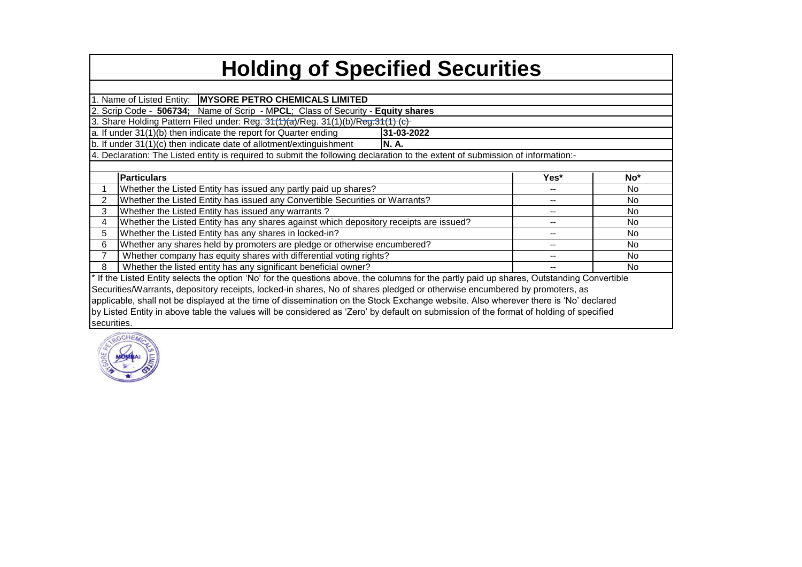## **Holding of Specified Securities**

1. Name of Listed Entity: **MYSORE PETRO CHEMICALS LIMITED**

2. Scrip Code - **506734;** Name of Scrip - M**PCL**; Class of Security - **Equity shares**

3. Share Holding Pattern Filed under: Reg. 31(1)(a)/Reg. 31(1)(b)/Reg. 31(1) (c)

a. If under 31(1)(b) then indicate the report for Quarter ending **31-03-2022**

b. If under 31(1)(c) then indicate date of allotment/extinguishment **N. A.**

4. Declaration: The Listed entity is required to submit the following declaration to the extent of submission of information:-

|             | <b>Particulars</b>                                                                                                                         | Yes* | No* |  |  |  |  |  |  |  |  |  |  |
|-------------|--------------------------------------------------------------------------------------------------------------------------------------------|------|-----|--|--|--|--|--|--|--|--|--|--|
|             | Whether the Listed Entity has issued any partly paid up shares?                                                                            |      | No. |  |  |  |  |  |  |  |  |  |  |
|             | Whether the Listed Entity has issued any Convertible Securities or Warrants?                                                               |      | No  |  |  |  |  |  |  |  |  |  |  |
| 3           | Whether the Listed Entity has issued any warrants?                                                                                         |      | No  |  |  |  |  |  |  |  |  |  |  |
| 4           | Whether the Listed Entity has any shares against which depository receipts are issued?                                                     |      | No. |  |  |  |  |  |  |  |  |  |  |
| 5           | Whether the Listed Entity has any shares in locked-in?                                                                                     |      | No  |  |  |  |  |  |  |  |  |  |  |
| 6           | Whether any shares held by promoters are pledge or otherwise encumbered?<br><b>No</b>                                                      |      |     |  |  |  |  |  |  |  |  |  |  |
| 7           | Whether company has equity shares with differential voting rights?                                                                         |      | No  |  |  |  |  |  |  |  |  |  |  |
| 8           | Whether the listed entity has any significant beneficial owner?                                                                            |      | No  |  |  |  |  |  |  |  |  |  |  |
|             | * If the Listed Entity selects the option 'No' for the questions above, the columns for the partly paid up shares, Outstanding Convertible |      |     |  |  |  |  |  |  |  |  |  |  |
|             | Securities/Warrants, depository receipts, locked-in shares, No of shares pledged or otherwise encumbered by promoters, as                  |      |     |  |  |  |  |  |  |  |  |  |  |
|             | applicable, shall not be displayed at the time of dissemination on the Stock Exchange website. Also wherever there is 'No' declared        |      |     |  |  |  |  |  |  |  |  |  |  |
|             | by Listed Entity in above table the values will be considered as 'Zero' by default on submission of the format of holding of specified     |      |     |  |  |  |  |  |  |  |  |  |  |
| securities. |                                                                                                                                            |      |     |  |  |  |  |  |  |  |  |  |  |

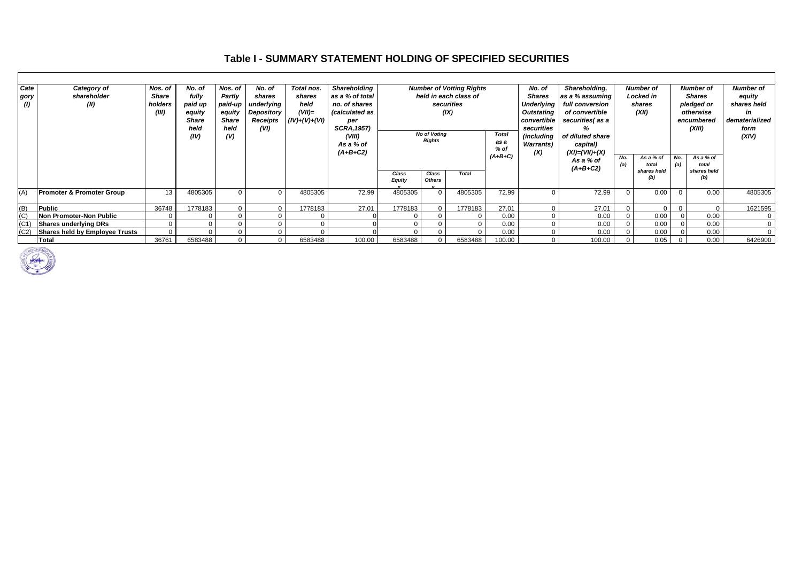## **Table I - SUMMARY STATEMENT HOLDING OF SPECIFIED SECURITIES**

| Cate | Category of                           | Nos. of | No. of       | Nos. of      | No. of     | Total nos.     | <b>Shareholding</b> |                                  |                               | <b>Number of Votting Rights</b> |                | No. of            | Shareholding,             |            | <b>Number of</b><br><b>Number of</b> |               |                    | <b>Number of</b> |
|------|---------------------------------------|---------|--------------|--------------|------------|----------------|---------------------|----------------------------------|-------------------------------|---------------------------------|----------------|-------------------|---------------------------|------------|--------------------------------------|---------------|--------------------|------------------|
| gory | shareholder                           | Share   | fully        | Partly       | shares     | shares         | as a % of total     |                                  | held in each class of         |                                 |                | <b>Shares</b>     | as a % assuming           | Locked in  |                                      | <b>Shares</b> |                    | equity           |
| (1)  | (II)                                  | holders | paid up      | paid-up      | underlying | held           | no, of shares       |                                  | securities                    |                                 |                | <b>Underlying</b> | full conversion<br>shares |            |                                      | pledged or    |                    | shares held      |
|      |                                       | (III)   | equity       | equity       | Depository | $(VII)=$       | (calculated as      | (IX)                             |                               |                                 |                | Outstating        | of convertible            |            | (XII)                                | otherwise     |                    | in               |
|      |                                       |         | <b>Share</b> | <b>Share</b> | Receipts   | $(IV)+(V)+(V)$ | per                 |                                  |                               |                                 |                | convertible       | securities(as a           |            |                                      | encumbered    |                    | dematerialized   |
|      |                                       |         | held         | held         | (VI)       |                | <b>SCRA, 1957)</b>  |                                  |                               |                                 |                | securities        | ℅                         |            |                                      |               | (XIII)             | form             |
|      |                                       |         | (IV)         | (V)          |            |                | (VIII)              |                                  | <b>No of Voting</b><br>Rights |                                 | <b>Total</b>   | <i>(including</i> | of diluted share          |            |                                      |               |                    | (XIV)            |
|      |                                       |         |              |              |            |                | As a % of           |                                  |                               |                                 | as a<br>$%$ of | <b>Warrants</b> ) | capital)                  |            |                                      |               |                    |                  |
|      |                                       |         |              |              |            |                | $(A+B+C2)$          |                                  |                               |                                 | $(A+B+C)$      | (X)               | $(XI) = (VII) + (X)$      |            |                                      |               |                    |                  |
|      |                                       |         |              |              |            |                |                     |                                  |                               |                                 |                |                   | As a % of                 | No.<br>(a) | As a % of<br>total                   | No.<br>(a)    | As a % of<br>total |                  |
|      |                                       |         |              |              |            |                |                     |                                  |                               | Class<br><b>Total</b>           |                |                   | $(A+B+C2)$                |            | shares held                          |               | shares held        |                  |
|      |                                       |         |              |              |            |                |                     | Class<br>Equity<br><b>Others</b> |                               |                                 |                |                   |                           |            | (b)                                  |               | (b)                |                  |
|      |                                       |         |              |              |            |                |                     |                                  |                               |                                 |                |                   |                           |            |                                      |               |                    |                  |
| (A)  | <b>Promoter &amp; Promoter Group</b>  | 13      | 4805305      | $\Omega$     |            | 4805305        | 72.99               | 4805305                          |                               | 4805305                         | 72.99          |                   | 72.99                     |            | 0.00                                 |               | 0.00               | 4805305          |
|      |                                       |         |              |              |            |                |                     |                                  |                               |                                 |                |                   |                           |            |                                      |               |                    |                  |
| (B)  | Public                                | 36748   | 1778183      | $\Omega$     |            | 1778183        | 27.01               | 1778183                          |                               | 1778183                         | 27.01          |                   | 27.01                     |            | $\Omega$                             |               | $\Omega$           | 1621595          |
| (C)  | Non Promoter-Non Public               |         | $\Omega$     | $\Omega$     |            |                |                     |                                  |                               |                                 | 0.00           |                   | 0.00                      |            | 0.00                                 |               | 0.00               |                  |
| (C1) | Shares underlying DRs                 |         | $\Omega$     |              |            |                |                     |                                  |                               |                                 | 0.00           |                   | 0.00                      |            | 0.00                                 |               | 0.00               |                  |
| (C2) | <b>Shares held by Employee Trusts</b> |         | $\Omega$     |              |            |                |                     |                                  |                               |                                 | 0.00           |                   | 0.00                      |            | 0.00                                 |               | 0.00               |                  |
|      | Total                                 | 36761   | 6583488      | $\Omega$     |            | 6583488        | 100.00              | 6583488                          |                               | 6583488                         | 100.00         |                   | 100.00                    |            | 0.05                                 |               | 0.00               | 6426900          |

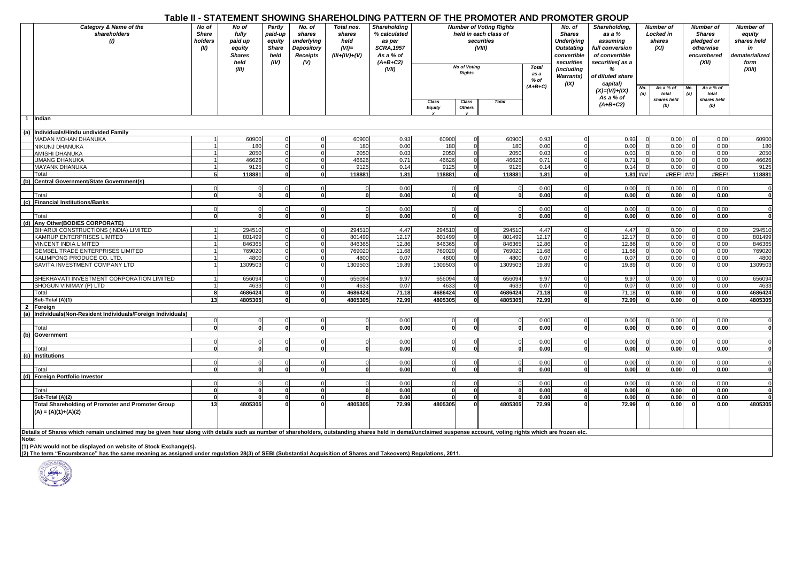|                |                                                                                                                                                                                                                |                                          |                                                                       |                                                      |                                                                 |                                                             |                                                                                                        |                          |                      | Table II - STATEMENT SHOWING SHAREHOLDING PATTERN OF THE PROMOTER AND PROMOTER GROUP |              |                                                                                                              |                                                                                                  |                                          |                                   |                                                                                     |                                   |                                                                              |
|----------------|----------------------------------------------------------------------------------------------------------------------------------------------------------------------------------------------------------------|------------------------------------------|-----------------------------------------------------------------------|------------------------------------------------------|-----------------------------------------------------------------|-------------------------------------------------------------|--------------------------------------------------------------------------------------------------------|--------------------------|----------------------|--------------------------------------------------------------------------------------|--------------|--------------------------------------------------------------------------------------------------------------|--------------------------------------------------------------------------------------------------|------------------------------------------|-----------------------------------|-------------------------------------------------------------------------------------|-----------------------------------|------------------------------------------------------------------------------|
|                | Category & Name of the<br>shareholders<br>(1)                                                                                                                                                                  | No of<br><b>Share</b><br>holders<br>(II) | No of<br>fully<br>paid up<br>equity<br><b>Shares</b><br>held<br>(III) | Partly<br>paid-up<br>equity<br>Share<br>held<br>(IV) | No. of<br>shares<br>underlying<br>Depository<br>Receipts<br>(V) | Total nos.<br>shares<br>held<br>$(VI)=$<br>$(III+(IV)+(V))$ | <b>Shareholding</b><br>% calculated<br>as per<br><b>SCRA, 1957</b><br>As a % of<br>$(A+B+C2)$<br>(VII) |                          | <b>No of Voting</b>  | <b>Number of Voting Rights</b><br>held in each class of<br>securities<br>(VIII)      | <b>Total</b> | No. of<br><b>Shares</b><br><b>Underlying</b><br><b>Outstating</b><br>convertible<br>securities<br>(including | Shareholding,<br>as a %<br>assuming<br>full conversion<br>of convertible<br>securities(as a<br>% | Number of<br>Locked in<br>shares<br>(XI) |                                   | <b>Number of</b><br><b>Shares</b><br>pledged or<br>otherwise<br>encumbered<br>(XII) |                                   | Number of<br>equity<br>shares held<br>in<br>dematerialized<br>form<br>(XIII) |
|                |                                                                                                                                                                                                                |                                          |                                                                       |                                                      |                                                                 |                                                             |                                                                                                        | Class                    | Class                | <b>Rights</b><br>as a<br>% of<br>$(A+B+C)$<br><b>Total</b>                           |              | <b>Warrants)</b><br>(IX)                                                                                     | of diluted share<br>capital)<br>$(X)=(VI)+(IX)$<br>As a % of                                     | No.<br>(a)                               | As a % of<br>total<br>shares held | No.<br>(a)                                                                          | As a % of<br>total<br>shares held |                                                                              |
|                |                                                                                                                                                                                                                |                                          |                                                                       |                                                      |                                                                 |                                                             |                                                                                                        | <b>Equity</b>            | Others               |                                                                                      |              |                                                                                                              | $(A+B+C2)$                                                                                       |                                          | (b)                               |                                                                                     | (b)                               |                                                                              |
| $\overline{1}$ | Indian                                                                                                                                                                                                         |                                          |                                                                       |                                                      |                                                                 |                                                             |                                                                                                        |                          |                      |                                                                                      |              |                                                                                                              |                                                                                                  |                                          |                                   |                                                                                     |                                   |                                                                              |
| (a)            | Individuals/Hindu undivided Family                                                                                                                                                                             |                                          |                                                                       |                                                      |                                                                 |                                                             |                                                                                                        |                          |                      |                                                                                      |              |                                                                                                              |                                                                                                  |                                          |                                   |                                                                                     |                                   |                                                                              |
|                | MADAN MOHAN DHANUKA                                                                                                                                                                                            |                                          | 60900                                                                 | $\Omega$                                             |                                                                 | 60900                                                       | 0.93                                                                                                   | 60900                    | $\Omega$             | 60900                                                                                | 0.93         |                                                                                                              | 0.93                                                                                             |                                          | 0.00                              |                                                                                     | 0.00                              | 60900                                                                        |
|                | NIKUNJ DHANUKA                                                                                                                                                                                                 |                                          | 180                                                                   | $\mathbf 0$                                          |                                                                 | 180                                                         | 0.00                                                                                                   | 180                      | $\Omega$             | 180                                                                                  | 0.00         | $\Omega$                                                                                                     | 0.00                                                                                             |                                          | 0.00                              |                                                                                     | 0.00                              | 180                                                                          |
|                | AMISHI DHANUKA                                                                                                                                                                                                 |                                          | 2050                                                                  | $\mathbf 0$                                          |                                                                 | 2050                                                        | 0.03                                                                                                   | 2050                     | $\Omega$             | 2050                                                                                 | 0.03         |                                                                                                              | 0.03                                                                                             |                                          | 0.00                              |                                                                                     | 0.00                              | 2050                                                                         |
|                | <b>UMANG DHANUKA</b>                                                                                                                                                                                           |                                          | 46626                                                                 | $\mathbf 0$                                          | $\Omega$                                                        | 46626                                                       | 0.71                                                                                                   | 46626                    | $\Omega$             | 46626                                                                                | 0.71         | $\mathbf 0$                                                                                                  | 0.71                                                                                             | $\Omega$                                 | 0.00                              |                                                                                     | 0.00                              | 46626                                                                        |
|                | <b>MAYANK DHANUKA</b>                                                                                                                                                                                          |                                          | 9125                                                                  | $\overline{0}$                                       |                                                                 | 9125                                                        | 0.14                                                                                                   | 9125                     | $\Omega$             | 9125                                                                                 | 0.14         | $\mathbf 0$                                                                                                  | 0.14                                                                                             | $\overline{0}$                           | 0.00                              |                                                                                     | 0.00                              | 9125                                                                         |
|                | Total                                                                                                                                                                                                          | 51                                       | 118881                                                                | $\mathbf{0}$                                         | $\mathbf{0}$                                                    | 118881                                                      | 1.81                                                                                                   | 118881                   | <sup>0</sup>         | 118881                                                                               | 1.81         | $\mathbf{0}$                                                                                                 |                                                                                                  | $1.81$ ###                               | #REF! ###                         |                                                                                     | #REF!                             | 118881                                                                       |
|                | (b) Central Government/State Government(s)                                                                                                                                                                     |                                          |                                                                       |                                                      |                                                                 |                                                             |                                                                                                        |                          |                      |                                                                                      |              |                                                                                                              |                                                                                                  |                                          |                                   |                                                                                     |                                   |                                                                              |
|                |                                                                                                                                                                                                                |                                          |                                                                       | $\mathbf 0$                                          | $\mathbf 0$                                                     | $\mathbf 0$                                                 | 0.00                                                                                                   | $\mathbf{0}$             | $\Omega$             | $\Omega$                                                                             | 0.00         | $\mathbf 0$                                                                                                  | 0.00                                                                                             |                                          | 0.00                              |                                                                                     | 0.00                              | $\Omega$                                                                     |
|                | Total                                                                                                                                                                                                          | O                                        | $\mathbf{0}$                                                          | 0                                                    | $\mathbf 0$                                                     | 0                                                           | 0.00                                                                                                   | $\mathbf{0}$             | $\Omega$             | $\mathbf{0}$                                                                         | 0.00         | $\mathbf{0}$                                                                                                 | 0.00                                                                                             | $\mathbf{0}$                             | 0.00                              | o١                                                                                  | 0.00                              | $\mathbf 0$                                                                  |
|                | (c) Financial Institutions/Banks                                                                                                                                                                               |                                          |                                                                       | $\overline{0}$                                       | $\Omega$                                                        | $\mathbf 0$                                                 | 0.00                                                                                                   | $\Omega$                 | $\Omega$             | $\Omega$                                                                             | 0.00         | $\Omega$                                                                                                     | 0.00                                                                                             | $\Omega$                                 | 0.00                              |                                                                                     | 0.00                              | $\Omega$                                                                     |
|                | Total                                                                                                                                                                                                          | οl                                       | $\mathbf{0}$                                                          | $\mathbf{0}$                                         | ō                                                               | $\mathbf{0}$                                                | 0.00                                                                                                   | $\mathbf{0}$             | $\mathbf{0}$         | $\mathbf{0}$                                                                         | 0.00         | <sub>0</sub>                                                                                                 | 0.00                                                                                             | $\mathbf{0}$                             | 0.00                              | <sub>0</sub>                                                                        | 0.00                              | $\mathbf{0}$                                                                 |
|                | (d) Any Other (BODIES CORPORATE)                                                                                                                                                                               |                                          |                                                                       |                                                      |                                                                 |                                                             |                                                                                                        |                          |                      |                                                                                      |              |                                                                                                              |                                                                                                  |                                          |                                   |                                                                                     |                                   |                                                                              |
|                | BIHARIJI CONSTRUCTIONS (INDIA) LIMITED                                                                                                                                                                         |                                          | 294510                                                                | $\Omega$                                             | $\Omega$                                                        | 294510                                                      | 4.47                                                                                                   | 294510                   | $\Omega$             | 294510                                                                               | 4.47         | $\mathbf 0$                                                                                                  | 4.47                                                                                             | $\Omega$                                 | 0.00                              |                                                                                     | 0.00                              | 294510                                                                       |
|                | KAMRUP ENTERPRISES LIMITED                                                                                                                                                                                     |                                          | 801499                                                                | $\Omega$                                             | $\overline{0}$                                                  | 801499                                                      | 12.17                                                                                                  | 801499                   | $\mathbf 0$          | 801499                                                                               | 12.17        |                                                                                                              | 12.17                                                                                            |                                          | 0.00                              |                                                                                     | 0.00                              | 801499                                                                       |
|                | <b>VINCENT INDIA LIMITED</b>                                                                                                                                                                                   |                                          | 846365                                                                | $\Omega$                                             | $\mathbf 0$                                                     | 846365                                                      | 12.86                                                                                                  | 846365                   | $\Omega$             | 846365                                                                               | 12.86        | $\Omega$                                                                                                     | 12.86                                                                                            | $\mathbf 0$                              | 0.00                              |                                                                                     | 0.00                              | 846365                                                                       |
|                | GEMBEL TRADE ENTERPRISES LIMITED                                                                                                                                                                               |                                          | 769020                                                                | $\Omega$                                             | $\Omega$                                                        | 769020                                                      | 11.68                                                                                                  | 769020                   | $\Omega$             | 769020                                                                               | 11.68        | $\Omega$                                                                                                     | 11.68                                                                                            | $\Omega$                                 | 0.00                              |                                                                                     | 0.00                              | 769020                                                                       |
|                | KALIMPONG PRODUCE CO. LTD.                                                                                                                                                                                     |                                          | 4800                                                                  |                                                      |                                                                 | 4800                                                        | 0.07                                                                                                   | 4800                     |                      | 4800                                                                                 | 0.07         |                                                                                                              | 0.07                                                                                             |                                          | 0.00                              |                                                                                     | 0.00                              | 4800                                                                         |
|                | SAVITA INVESTMENT COMPANY LTD                                                                                                                                                                                  |                                          | 1309503                                                               | $\Omega$                                             |                                                                 | 1309503                                                     | 19.89                                                                                                  | 1309503                  |                      | 1309503                                                                              | 19.89        |                                                                                                              | 19.89                                                                                            |                                          | 0.00                              |                                                                                     | 0.00                              | 1309503                                                                      |
|                | SHEKHAVATI INVESTMENT CORPORATION LIMITED                                                                                                                                                                      |                                          | 656094                                                                | $\Omega$                                             |                                                                 | 656094                                                      | 9.97                                                                                                   | 65609                    | $\Omega$             | 656094                                                                               | 9.97         | $\Omega$                                                                                                     | 9.97                                                                                             |                                          | 0.00                              |                                                                                     | 0.00                              | 656094                                                                       |
|                | SHOGUN VINIMAY (P) LTD                                                                                                                                                                                         |                                          | 4633                                                                  | $\overline{0}$                                       |                                                                 | 4633                                                        | 0.07                                                                                                   | 4633                     | $\Omega$             | 4633                                                                                 | 0.07         | $\Omega$                                                                                                     | 0.07                                                                                             | $\overline{0}$                           | 0.00                              |                                                                                     | 0.00                              | 4633                                                                         |
|                | Total                                                                                                                                                                                                          | 8                                        | 4686424                                                               | $\mathbf{0}$                                         | $\mathbf 0$                                                     | 4686424                                                     | 71.18                                                                                                  | 4686424                  | $\mathbf{0}$         | 4686424                                                                              | 71.18        | 0                                                                                                            | 71.18                                                                                            | $\mathbf{0}$                             | 0.00                              | <sup>0</sup>                                                                        | 0.00                              | 4686424                                                                      |
|                | Sub-Total (A)(1)                                                                                                                                                                                               | 13                                       | 4805305                                                               | 0                                                    | э                                                               | 4805305                                                     | 72.99                                                                                                  | 4805305                  | o                    | 4805305                                                                              | 72.99        | $\mathbf{0}$                                                                                                 | 72.99                                                                                            | o                                        | 0.00                              | n١                                                                                  | 0.00                              | 4805305                                                                      |
| $\overline{2}$ | Foreign                                                                                                                                                                                                        |                                          |                                                                       |                                                      |                                                                 |                                                             |                                                                                                        |                          |                      |                                                                                      |              |                                                                                                              |                                                                                                  |                                          |                                   |                                                                                     |                                   |                                                                              |
|                | Individuals(Non-Resident Individuals/Foreign Individuals)                                                                                                                                                      |                                          |                                                                       |                                                      |                                                                 |                                                             |                                                                                                        |                          |                      |                                                                                      |              |                                                                                                              |                                                                                                  |                                          |                                   |                                                                                     |                                   |                                                                              |
|                | Total                                                                                                                                                                                                          | $\Omega$<br>O                            | $\Omega$<br>$\mathbf{0}$                                              | $\Omega$<br>$\Omega$                                 | $\Omega$<br>$\Omega$                                            | $\mathbf 0$<br>$\mathbf{0}$                                 | 0.00<br>0.00                                                                                           | $\Omega$<br>$\mathbf{0}$ | $\Omega$<br>$\Omega$ | $\overline{0}$<br>$\Omega$                                                           | 0.00<br>0.00 | $\mathbf 0$<br>0                                                                                             | 0.00<br>0.00                                                                                     | $\mathbf 0$<br>$\Omega$                  | 0.00<br>0.00                      | ΩI                                                                                  | 0.00<br>0.00                      | $\mathbf 0$<br>$\Omega$                                                      |
|                | (b) Government                                                                                                                                                                                                 |                                          |                                                                       |                                                      |                                                                 |                                                             |                                                                                                        |                          |                      |                                                                                      |              |                                                                                                              |                                                                                                  |                                          |                                   |                                                                                     |                                   |                                                                              |
|                |                                                                                                                                                                                                                | O                                        | $\Omega$                                                              | $\mathbf{0}$                                         | $\mathbf 0$                                                     | $\mathbf 0$                                                 | 0.00                                                                                                   | $\overline{0}$           | $\Omega$             | $\mathbf 0$                                                                          | 0.00         | $\overline{0}$                                                                                               | 0.00                                                                                             | $\mathbf 0$                              | 0.00                              |                                                                                     | 0.00                              | $\mathbf 0$                                                                  |
|                | Total                                                                                                                                                                                                          | ΩI                                       | $\mathbf{0}$                                                          | $\mathbf{0}$                                         | $\mathbf{0}$                                                    | $\mathbf{0}$                                                | 0.00                                                                                                   | 0.                       | $\mathbf{a}$         | $\Omega$                                                                             | 0.00         | $\mathbf{0}$                                                                                                 | 0.00                                                                                             | $\mathbf{0}$                             | 0.00                              | ΩI                                                                                  | 0.00                              | $\mathbf 0$                                                                  |
| (c)            | <b>Institutions</b>                                                                                                                                                                                            |                                          |                                                                       |                                                      |                                                                 |                                                             |                                                                                                        |                          |                      |                                                                                      |              |                                                                                                              |                                                                                                  |                                          |                                   |                                                                                     |                                   |                                                                              |
|                |                                                                                                                                                                                                                |                                          |                                                                       | $\Omega$                                             | $\Omega$                                                        | $\Omega$                                                    | 0.00                                                                                                   | $\Omega$                 | $\Omega$             | $\Omega$                                                                             | 0.00         | $\mathbf 0$                                                                                                  | 0.00                                                                                             | $\Omega$                                 | 0.00                              |                                                                                     | 0.00                              | $\Omega$                                                                     |
|                | Total                                                                                                                                                                                                          | <sub>0</sub>                             | οl                                                                    | $\mathbf{0}$                                         | $\mathbf{0}$                                                    | $\mathbf{0}$                                                | 0.00                                                                                                   | $\mathbf{0}$             | $\mathbf{0}$         | $\mathbf{0}$                                                                         | 0.00         | $\mathbf{0}$                                                                                                 | 0.00                                                                                             | $\mathbf 0$                              | 0.00                              | 0                                                                                   | 0.00                              | $\mathbf 0$                                                                  |
|                | (d) Foreign Portfolio Investor                                                                                                                                                                                 |                                          |                                                                       |                                                      |                                                                 |                                                             |                                                                                                        |                          |                      |                                                                                      |              |                                                                                                              |                                                                                                  |                                          |                                   |                                                                                     |                                   |                                                                              |
|                |                                                                                                                                                                                                                |                                          |                                                                       | $\Omega$                                             | $\Omega$                                                        | $\Omega$                                                    | 0.00                                                                                                   | $\mathbf 0$              |                      | $\Omega$                                                                             | 0.00         | $\Omega$                                                                                                     | 0.00                                                                                             | $\Omega$                                 | 0.00                              |                                                                                     | 0.00                              | $\Omega$                                                                     |
|                | Total                                                                                                                                                                                                          | <sup>0</sup>                             | $\mathbf{0}$                                                          | $\mathbf{0}$                                         | $\mathbf 0$                                                     | $\Omega$                                                    | 0.00                                                                                                   | $\Omega$                 | $\mathbf{0}$         |                                                                                      | 0.00         | $\mathbf 0$                                                                                                  | 0.00                                                                                             | $\mathbf{0}$                             | 0.00                              |                                                                                     | 0.00                              | $\mathbf 0$                                                                  |
|                | Sub-Total (A)(2)                                                                                                                                                                                               | $\Omega$                                 |                                                                       | $\mathbf{0}$                                         |                                                                 |                                                             | 0.00                                                                                                   |                          | $\Omega$             |                                                                                      | 0.00         | $\mathbf 0$                                                                                                  | 0.00                                                                                             | $\mathbf{0}$                             | 0.00                              |                                                                                     | 0.00                              |                                                                              |
|                | Total Shareholding of Promoter and Promoter Group<br>$(A) = (A)(1)+(A)(2)$                                                                                                                                     | 13                                       | 4805305                                                               | 0                                                    |                                                                 | 4805305                                                     | 72.99                                                                                                  | 4805305                  | $\mathbf{0}$         | 4805305                                                                              | 72.99        | $\Omega$                                                                                                     | 72.99                                                                                            | 0                                        | 0.00                              |                                                                                     | 0.00                              | 4805305                                                                      |
|                | Details of Shares which remain unclaimed may be given hear along with details such as number of shareholders, outstanding shares held in demat/unclaimed suspense account, voting rights which are frozen etc. |                                          |                                                                       |                                                      |                                                                 |                                                             |                                                                                                        |                          |                      |                                                                                      |              |                                                                                                              |                                                                                                  |                                          |                                   |                                                                                     |                                   |                                                                              |
| Note:          |                                                                                                                                                                                                                |                                          |                                                                       |                                                      |                                                                 |                                                             |                                                                                                        |                          |                      |                                                                                      |              |                                                                                                              |                                                                                                  |                                          |                                   |                                                                                     |                                   |                                                                              |
|                | (1) PAN would not be displayed on website of Stock Exchange(s).                                                                                                                                                |                                          |                                                                       |                                                      |                                                                 |                                                             |                                                                                                        |                          |                      |                                                                                      |              |                                                                                                              |                                                                                                  |                                          |                                   |                                                                                     |                                   |                                                                              |
|                | (2) The term "Encumbrance" has the same meaning as assigned under regulation 28(3) of SEBI (Substantial Acquisition of Shares and Takeovers) Regulations, 2011.                                                |                                          |                                                                       |                                                      |                                                                 |                                                             |                                                                                                        |                          |                      |                                                                                      |              |                                                                                                              |                                                                                                  |                                          |                                   |                                                                                     |                                   |                                                                              |

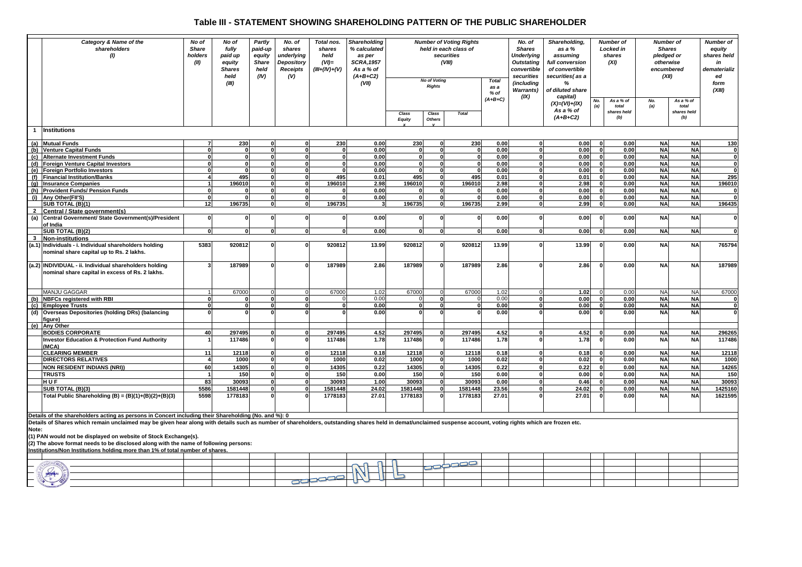## **Table III - STATEMENT SHOWING SHAREHOLDING PATTERN OF THE PUBLIC SHAREHOLDER**

|                | Category & Name of the<br>shareholders<br>(1)                                                                                                                                                                                                                                     | No of<br><b>Share</b><br>holders<br>(III) | No of<br>fully<br>paid up<br>equity<br><b>Shares</b><br>held | Partly<br>paid-up<br>equity<br><b>Share</b><br>held<br>(IV) | No. of<br>shares<br>underlying<br>Depository<br><b>Receipts</b><br>(V) | Total nos.<br>shares<br>held<br>$(VI)$ =<br>$(III+(IV)+(V))$ | Shareholding<br>% calculated<br>as per<br><b>SCRA, 1957</b><br>As a % of<br>$(A+B+C2)$ |                        | <b>No of Voting</b> | <b>Number of Voting Rights</b><br>held in each class of<br>securities<br>(VIII) | <b>Total</b> | No. of<br><b>Shares</b><br><b>Underlying</b><br><b>Outstating</b><br>convertible<br>securities | Shareholding,<br>as a %<br>assuming<br>full conversion<br>of convertible<br>securities(as a | <b>Number of</b><br><b>Locked in</b><br>shares<br>(XI) |                    | <b>Number</b> of<br><b>Shares</b><br>pledged or<br>otherwise<br>encumbered<br>(XII) |                    | <b>Number of</b><br>equity<br>shares held<br>in<br>dematerializ<br>ed<br>form |
|----------------|-----------------------------------------------------------------------------------------------------------------------------------------------------------------------------------------------------------------------------------------------------------------------------------|-------------------------------------------|--------------------------------------------------------------|-------------------------------------------------------------|------------------------------------------------------------------------|--------------------------------------------------------------|----------------------------------------------------------------------------------------|------------------------|---------------------|---------------------------------------------------------------------------------|--------------|------------------------------------------------------------------------------------------------|---------------------------------------------------------------------------------------------|--------------------------------------------------------|--------------------|-------------------------------------------------------------------------------------|--------------------|-------------------------------------------------------------------------------|
|                |                                                                                                                                                                                                                                                                                   |                                           | (III)                                                        |                                                             |                                                                        |                                                              | (VII)                                                                                  |                        | <b>Rights</b>       | as a<br>$%$ of<br>$(A+B+C)$                                                     |              | (including<br><b>Warrants</b> )<br>(IX)                                                        | %<br>of diluted share<br>capital)<br>$(X)=(VI)+(IX)$                                        | No.<br>As a % of<br>(a)<br>total                       |                    | As a % of<br>No.<br>(a)<br>total                                                    |                    | (XIII)                                                                        |
|                |                                                                                                                                                                                                                                                                                   |                                           |                                                              |                                                             |                                                                        |                                                              |                                                                                        | Class<br><b>Equity</b> | Class<br>Others     | <b>Total</b>                                                                    |              |                                                                                                | As a % of<br>$(A+B+C2)$                                                                     |                                                        | shares held<br>(b) |                                                                                     | shares held<br>(b) |                                                                               |
| $\mathbf{1}$   | Institutions                                                                                                                                                                                                                                                                      |                                           |                                                              |                                                             |                                                                        |                                                              |                                                                                        |                        |                     |                                                                                 |              |                                                                                                |                                                                                             |                                                        |                    |                                                                                     |                    |                                                                               |
|                | (a) Mutual Funds                                                                                                                                                                                                                                                                  | 7                                         | 230                                                          | $\Omega$                                                    | O.                                                                     | 230                                                          | 0.00                                                                                   | 230                    | $\Omega$            | 230                                                                             | 0.00         | $\mathbf{0}$                                                                                   | 0.00                                                                                        | $\Omega$                                               | 0.00               | <b>NA</b>                                                                           | <b>NA</b>          | 130                                                                           |
|                | (b) Venture Capital Funds                                                                                                                                                                                                                                                         | $\Omega$                                  | $\Omega$                                                     | 0                                                           |                                                                        | $\Omega$                                                     | 0.00                                                                                   | $\Omega$               | $\Omega$            | $\Omega$                                                                        | 0.00         | $\mathbf{0}$                                                                                   | 0.00                                                                                        | $\mathbf{a}$                                           | 0.00               | <b>NA</b>                                                                           | <b>NA</b>          | 0                                                                             |
|                | (c) Alternate Investment Funds                                                                                                                                                                                                                                                    | $\Omega$                                  | $\mathbf{0}$                                                 | O                                                           | U                                                                      | $\mathbf{0}$                                                 | 0.00                                                                                   | 0                      | $\Omega$            | $\mathbf{0}$                                                                    | 0.00         | $\overline{\mathbf{0}}$                                                                        | 0.00                                                                                        | $\Omega$                                               | 0.00               | <b>NA</b>                                                                           | <b>NA</b>          | 0                                                                             |
| (d)            | Foreign Venture Capital Investors                                                                                                                                                                                                                                                 | $\mathbf 0$                               | $\mathbf{0}$                                                 | $\mathbf{0}$                                                | n                                                                      | $\mathbf{0}$                                                 | 0.00                                                                                   | $\Omega$               | $\mathbf{0}$        | 0                                                                               | 0.00         | $\mathbf{0}$                                                                                   | 0.00                                                                                        | $\Omega$                                               | 0.00               | <b>NA</b>                                                                           | <b>NA</b>          | $\bf{0}$                                                                      |
| (e)            | <b>Foreign Portfolio Investors</b>                                                                                                                                                                                                                                                | $\Omega$                                  | $\Omega$                                                     | $\Omega$                                                    | O.                                                                     | $\Omega$                                                     | 0.00                                                                                   | $\Omega$               | - 0                 | 0                                                                               | 0.00         | $\mathbf{0}$                                                                                   | 0.00                                                                                        | $\Omega$                                               | 0.00               | <b>NA</b>                                                                           | <b>NA</b>          | $\bf{0}$                                                                      |
| (f)            | <b>Financial Institution/Banks</b>                                                                                                                                                                                                                                                |                                           | 495                                                          |                                                             |                                                                        | 495                                                          | 0.01                                                                                   | 495                    |                     | 495                                                                             | 0.01         | $\mathbf{0}$                                                                                   | 0.01                                                                                        | $\mathbf{a}$                                           | 0.00               | <b>NA</b>                                                                           | <b>NA</b>          | 295                                                                           |
| (g)            | <b>Insurance Companies</b>                                                                                                                                                                                                                                                        | $\mathbf 1$                               | 196010                                                       | O                                                           | U                                                                      | 196010                                                       | 2.98                                                                                   | 196010                 | $\Omega$            | 196010                                                                          | 2.98         | $\mathbf{0}$                                                                                   | 2.98                                                                                        | n                                                      | 0.00               | <b>NA</b>                                                                           | <b>NA</b>          | 196010                                                                        |
|                | (h) Provident Funds/ Pension Funds                                                                                                                                                                                                                                                | $\Omega$                                  |                                                              | U                                                           |                                                                        |                                                              | 0.00                                                                                   |                        | $\Omega$            | $\Omega$                                                                        | 0.00         | $\mathbf{0}$                                                                                   | 0.00                                                                                        | $\Omega$                                               | 0.00               | <b>NA</b>                                                                           | <b>NA</b>          | O                                                                             |
| (i)            | Any Other(FII'S)                                                                                                                                                                                                                                                                  | $\mathbf{0}$                              | $\Omega$                                                     | $\Omega$                                                    | $\Omega$                                                               | $\Omega$                                                     | 0.00                                                                                   | $\Omega$               | $\Omega$            | 0                                                                               | 0.00         | $\mathbf{0}$                                                                                   | 0.00                                                                                        | $\mathbf{0}$                                           | 0.00               | <b>NA</b>                                                                           | <b>NA</b>          | $\mathbf{0}$                                                                  |
|                | SUB TOTAL (B)(1)                                                                                                                                                                                                                                                                  | 12                                        | 196735                                                       | 0                                                           |                                                                        | 196735                                                       | 3                                                                                      | 196735                 | $\mathbf{0}$        | 196735                                                                          | 2.99         | $\overline{\mathbf{0}}$                                                                        | 2.99                                                                                        | $\Omega$                                               | 0.00               | <b>NA</b>                                                                           | <b>NA</b>          | 196435                                                                        |
| $\overline{2}$ | Central / State government(s)                                                                                                                                                                                                                                                     |                                           |                                                              |                                                             |                                                                        |                                                              |                                                                                        |                        |                     |                                                                                 |              |                                                                                                |                                                                                             |                                                        |                    |                                                                                     |                    |                                                                               |
| (a)            | Central Government/ State Government(s)/President                                                                                                                                                                                                                                 | $\Omega$                                  | $\Omega$                                                     | O                                                           |                                                                        | $\Omega$                                                     | 0.00                                                                                   |                        | $\Omega$            | $\Omega$                                                                        | 0.00         | $\mathbf{0}$                                                                                   | 0.00                                                                                        | $\Omega$                                               | 0.00               | <b>NA</b>                                                                           | <b>NA</b>          | $\bf{0}$                                                                      |
|                | of India                                                                                                                                                                                                                                                                          |                                           |                                                              |                                                             |                                                                        |                                                              |                                                                                        |                        |                     |                                                                                 |              |                                                                                                |                                                                                             |                                                        |                    |                                                                                     |                    |                                                                               |
|                | SUB TOTAL (B)(2)                                                                                                                                                                                                                                                                  | $\Omega$                                  | $\Omega$                                                     |                                                             |                                                                        | $\Omega$                                                     | 0.00                                                                                   | O                      | $\Omega$            | $\Omega$                                                                        | 0.00         | $\mathbf{0}$                                                                                   | 0.00                                                                                        | $\mathbf{0}$                                           | 0.00               | <b>NA</b>                                                                           | <b>NA</b>          | 0                                                                             |
| $\mathbf{3}$   | <b>Non-institutions</b>                                                                                                                                                                                                                                                           |                                           |                                                              |                                                             |                                                                        |                                                              |                                                                                        |                        |                     |                                                                                 |              | $\mathbf{0}$                                                                                   |                                                                                             | $\mathbf{a}$                                           |                    |                                                                                     |                    |                                                                               |
|                | (a.1) Individuals - i. Individual shareholders holding<br>nominal share capital up to Rs. 2 lakhs.                                                                                                                                                                                | 5383                                      | 920812                                                       | O                                                           |                                                                        | 920812                                                       | 13.99                                                                                  | 920812                 | $\mathbf{0}$        | 920812                                                                          | 13.99        |                                                                                                | 13.99                                                                                       |                                                        | 0.00               | <b>NA</b>                                                                           | <b>NA</b>          | 765794                                                                        |
|                | (a.2) INDIVIDUAL - ii. Individual shareholders holding<br>nominal share capital in excess of Rs. 2 lakhs.                                                                                                                                                                         |                                           | 187989                                                       |                                                             |                                                                        | 187989                                                       | 2.86                                                                                   | 187989                 | $\Omega$            | 187989                                                                          | 2.86         | $\Omega$                                                                                       | 2.86                                                                                        |                                                        | 0.00               | <b>NA</b>                                                                           | <b>NA</b>          | 187989                                                                        |
|                | MANJU GAGGAR                                                                                                                                                                                                                                                                      | $\overline{1}$                            | 67000                                                        |                                                             | $\Omega$                                                               | 67000                                                        | 1.02                                                                                   | 67000                  | $\overline{0}$      | 67000                                                                           | 1.02         | $\Omega$                                                                                       | 1.02                                                                                        |                                                        | 0.00               | <b>NA</b>                                                                           | <b>NA</b>          | 67000                                                                         |
|                | (b) NBFCs registered with RBI                                                                                                                                                                                                                                                     | $\Omega$                                  | $\Omega$                                                     |                                                             | O                                                                      |                                                              | 0.00                                                                                   |                        | $\mathbf{0}$        | $\Omega$                                                                        | 0.00         | $\mathbf{0}$                                                                                   | 0.00                                                                                        | $\mathbf{0}$                                           | 0.00               | <b>NA</b>                                                                           | <b>NA</b>          | 0                                                                             |
| (c)            | <b>Employee Trusts</b>                                                                                                                                                                                                                                                            | $\Omega$                                  | οl                                                           | O                                                           | O                                                                      | $\Omega$                                                     | 0.00                                                                                   | O                      | $\Omega$            | $\mathbf{0}$                                                                    | 0.00         | $\mathbf{0}$                                                                                   | 0.00                                                                                        | o                                                      | 0.00               | <b>NA</b>                                                                           | <b>NA</b>          | 0                                                                             |
|                | (d) Overseas Depositories (holding DRs) (balancing<br>fiaure)                                                                                                                                                                                                                     |                                           |                                                              |                                                             |                                                                        |                                                              | 0.00                                                                                   |                        | $\Omega$            |                                                                                 | 0.00         |                                                                                                | 0.00                                                                                        | $\mathbf{a}$                                           | 0.00               | <b>NA</b>                                                                           | <b>NA</b>          | $\mathbf{0}$                                                                  |
|                | (e) Any Other                                                                                                                                                                                                                                                                     |                                           |                                                              |                                                             |                                                                        |                                                              |                                                                                        |                        |                     |                                                                                 |              |                                                                                                |                                                                                             |                                                        |                    |                                                                                     |                    |                                                                               |
|                | <b>BODIES CORPORATE</b>                                                                                                                                                                                                                                                           | 40                                        | 297495                                                       |                                                             |                                                                        | 297495                                                       | 4.52                                                                                   | 297495                 | $\Omega$            | 297495                                                                          | 4.52         | $\mathbf{0}$                                                                                   | 4.52                                                                                        | $\Omega$                                               | 0.00               | <b>NA</b>                                                                           | <b>NA</b>          | 296265                                                                        |
|                | <b>Investor Education &amp; Protection Fund Authority</b><br>(MCA)                                                                                                                                                                                                                |                                           | 117486                                                       |                                                             |                                                                        | 117486                                                       | 1.78                                                                                   | 117486                 | $\Omega$            | 117486                                                                          | 1.78         |                                                                                                | 1.78                                                                                        | $\Omega$                                               | 0.00               | <b>NA</b>                                                                           | <b>NA</b>          | 117486                                                                        |
|                | <b>CLEARING MEMBER</b>                                                                                                                                                                                                                                                            | 11                                        | 12118                                                        |                                                             |                                                                        | 12118                                                        | 0.18                                                                                   | 12118                  | $\Omega$            | 12118                                                                           | 0.18         | $\mathbf{0}$                                                                                   | 0.18                                                                                        | $\Omega$                                               | 0.00               | <b>NA</b>                                                                           | <b>NA</b>          | 12118                                                                         |
|                | <b>DIRECTORS RELATIVES</b>                                                                                                                                                                                                                                                        | $\overline{4}$                            | 1000                                                         | $\Omega$                                                    | O                                                                      | 1000                                                         | 0.02                                                                                   | 1000                   | $\mathbf{0}$        | 1000                                                                            | 0.02         | $\mathbf{0}$                                                                                   | 0.02                                                                                        | $\mathbf{0}$                                           | 0.00               | <b>NA</b>                                                                           | <b>NA</b>          | 1000                                                                          |
|                | <b>NON RESIDENT INDIANS (NRI))</b>                                                                                                                                                                                                                                                | 60                                        | 14305                                                        | n                                                           | O.                                                                     | 14305                                                        | 0.22                                                                                   | 14305                  | $\mathbf{0}$        | 14305                                                                           | 0.22         | $\mathbf{0}$                                                                                   | 0.22                                                                                        |                                                        | 0.00               | <b>NA</b>                                                                           | <b>NA</b>          | 14265                                                                         |
|                | <b>TRUSTS</b>                                                                                                                                                                                                                                                                     |                                           | 150                                                          |                                                             |                                                                        | 150                                                          | 0.00                                                                                   | 150                    | $\mathbf{r}$        | 150                                                                             | 0.00         | $\mathbf{0}$                                                                                   | 0.00                                                                                        |                                                        | 0.00               | <b>NA</b>                                                                           | <b>NA</b>          | 150                                                                           |
|                | HUF                                                                                                                                                                                                                                                                               | 83                                        | 30093                                                        |                                                             |                                                                        | 30093                                                        | 1.00                                                                                   | 30093                  |                     | 30093                                                                           | 0.00         | $\mathbf{0}$                                                                                   | 0.46                                                                                        |                                                        | 0.00               | <b>NA</b>                                                                           | <b>NA</b>          | 30093                                                                         |
|                | SUB TOTAL (B)(3)                                                                                                                                                                                                                                                                  | 5586                                      | 1581448                                                      | $\mathbf{0}$                                                | $\bf{0}$                                                               | 1581448                                                      | 24.02                                                                                  | 1581448                | $\mathbf 0$         | 1581448                                                                         | 23.56        | $\mathbf{0}$                                                                                   | 24.02                                                                                       | $\Omega$                                               | 0.00               | <b>NA</b>                                                                           | <b>NA</b>          | 1425160                                                                       |
|                | Total Public Shareholding (B) = $(B)(1)+(B)(2)+(B)(3)$                                                                                                                                                                                                                            | 5598                                      | 1778183                                                      |                                                             |                                                                        | 1778183                                                      | 27.01                                                                                  | 1778183                |                     | 1778183                                                                         | 27.01        |                                                                                                | 27.01                                                                                       |                                                        | 0.00               | <b>NA</b>                                                                           | <b>NA</b>          | 1621595                                                                       |
|                | Details of the shareholders acting as persons in Concert including their Shareholding (No. and %): 0                                                                                                                                                                              |                                           |                                                              |                                                             |                                                                        |                                                              |                                                                                        |                        |                     |                                                                                 |              |                                                                                                |                                                                                             |                                                        |                    |                                                                                     |                    |                                                                               |
| Note:          | Details of Shares which remain unclaimed may be given hear along with details such as number of shareholders, outstanding shares held in demat/unclaimed suspense account, voting rights which are frozen etc.<br>(1) PAN would not be displayed on website of Stock Exchange(s). |                                           |                                                              |                                                             |                                                                        |                                                              |                                                                                        |                        |                     |                                                                                 |              |                                                                                                |                                                                                             |                                                        |                    |                                                                                     |                    |                                                                               |

(1) PAN would not be displayed on website of Stock Exchange(s).<br>(2) The above format needs to be disclosed along with the name of following persons:<br>Institutions/Non Institutions holding more than 1% of total number of sha

| <u> mautonomanton mautonoma norumo more than 178 or total number or anarea.</u> |  |  |  |    |  |  |  |  |  |
|---------------------------------------------------------------------------------|--|--|--|----|--|--|--|--|--|
|                                                                                 |  |  |  |    |  |  |  |  |  |
|                                                                                 |  |  |  | __ |  |  |  |  |  |
|                                                                                 |  |  |  |    |  |  |  |  |  |
|                                                                                 |  |  |  |    |  |  |  |  |  |
|                                                                                 |  |  |  |    |  |  |  |  |  |